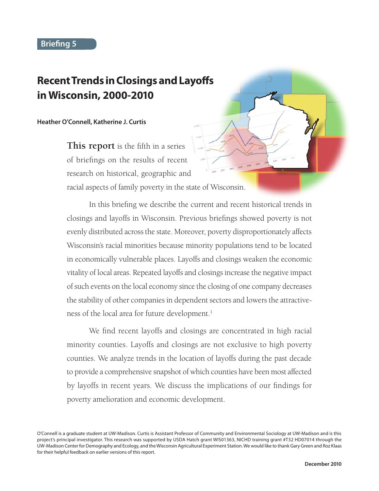# **Recent Trends in Closings and Layoffs in Wisconsin, 2000-2010**

#### **Heather O'Connell, Katherine J. Curtis**

**This report** is the fifth in a series of briefings on the results of recent research on historical, geographic and racial aspects of family poverty in the state of Wisconsin.

In this briefing we describe the current and recent historical trends in closings and layoffs in Wisconsin. Previous briefings showed poverty is not evenly distributed across the state. Moreover, poverty disproportionately affects Wisconsin's racial minorities because minority populations tend to be located in economically vulnerable places. Layoffs and closings weaken the economic vitality of local areas. Repeated layoffs and closings increase the negative impact of such events on the local economy since the closing of one company decreases the stability of other companies in dependent sectors and lowers the attractiveness of the local area for future development.<sup>1</sup>

We find recent layoffs and closings are concentrated in high racial minority counties. Layoffs and closings are not exclusive to high poverty counties. We analyze trends in the location of layoffs during the past decade to provide a comprehensive snapshot of which counties have been most affected by layoffs in recent years. We discuss the implications of our findings for poverty amelioration and economic development.

O'Connell is a graduate student at UW-Madison. Curtis is Assistant Professor of Community and Environmental Sociology at UW-Madison and is this project's principal investigator. This research was supported by USDA Hatch grant WIS01363, NICHD training grant #T32 HD07014 through the UW-Madison Center for Demography and Ecology, and the Wisconsin Agricultural Experiment Station. We would like to thank Gary Green and Roz Klaas for their helpful feedback on earlier versions of this report.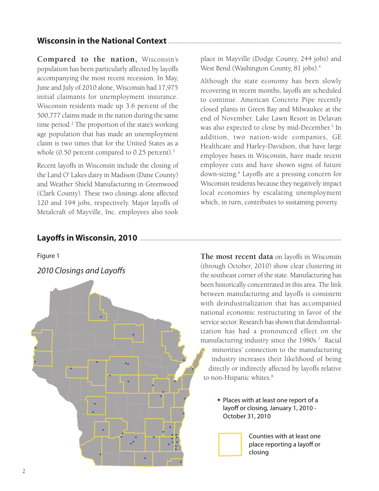## **Wisconsin in the National Context**

**Compared to the nation,** Wisconsin's population has been particularly affected by layoffs accompanying the most recent recession. In May, June and July of 2010 alone, Wisconsin had 17,975 initial claimants for unemployment insurance. Wisconsin residents made up 3.6 percent of the 500,777 claims made in the nation during the same time period.<sup>2</sup> The proportion of the state's working age population that has made an unemployment claim is two times that for the United States as a whole (0.50 percent compared to 0.25 percent).<sup>3</sup>

Recent layoffs in Wisconsin include the closing of the Land O' Lakes dairy in Madison (Dane County) and Weather Shield Manufacturing in Greenwood (Clark County). These two closings alone affected 120 and 194 jobs, respectively. Major layoffs of Metalcraft of Mayville, Inc. employees also took

#### Layoffs in Wisconsin, 2010

Figure 1

*2010 Closings and Layoffs*



place in Mayville (Dodge County, 244 jobs) and West Bend (Washington County, 81 jobs).<sup>4</sup>

Although the state economy has been slowly recovering in recent months, layoffs are scheduled to continue. American Concrete Pipe recently closed plants in Green Bay and Milwaukee at the end of November. Lake Lawn Resort in Delavan was also expected to close by mid-December.<sup>5</sup> In addition, two nation-wide companies, GE Healthcare and Harley-Davidson, that have large employee bases in Wisconsin, have made recent employee cuts and have shown signs of future down-sizing.6 Layoffs are a pressing concern for Wisconsin residents because they negatively impact local economies by escalating unemployment which, in turn, contributes to sustaining poverty.

**The most recent data** on layoffs in Wisconsin (through October, 2010) show clear clustering in the southeast corner of the state. Manufacturing has been historically concentrated in this area. The link between manufacturing and layoffs is consistent with deindustrialization that has accompanied national economic restructuring in favor of the service sector. Research has shown that deindustrialization has had a pronounced effect on the manufacturing industry since the 1980s.<sup>7</sup> Racial minorities' connection to the manufacturing industry increases their likelihood of being directly or indirectly affected by layoffs relative to non-Hispanic whites.<sup>8</sup>

> • Places with at least one report of a layoff or closing, January 1, 2010 -October 31, 2010



Counties with at least one place reporting a layoff or closing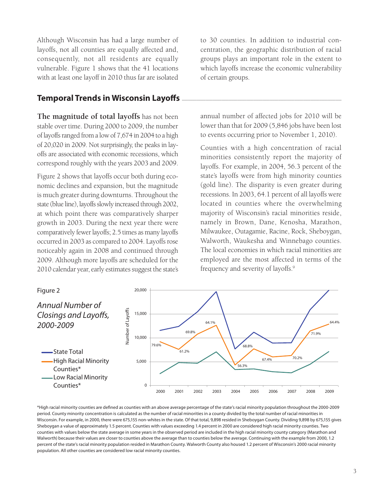Although Wisconsin has had a large number of layoffs, not all counties are equally affected and, consequently, not all residents are equally vulnerable. Figure 1 shows that the 41 locations with at least one layoff in 2010 thus far are isolated

### **Temporal Trends in Wisconsin Layoffs**

**The magnitude of total layoffs** has not been stable over time. During 2000 to 2009, the number of layoffs ranged from a low of 7,674 in 2004 to a high of 20,020 in 2009. Not surprisingly, the peaks in layoffs are associated with economic recessions, which correspond roughly with the years 2003 and 2009.

Figure 2 shows that layoffs occur both during economic declines and expansion, but the magnitude is much greater during downturns. Throughout the state (blue line), layoffs slowly increased through 2002, at which point there was comparatively sharper growth in 2003. During the next year there were comparatively fewer layoffs; 2.5 times as many layoffs occurred in 2003 as compared to 2004. Layoffs rose noticeably again in 2008 and continued through 2009. Although more layoffs are scheduled for the 2010 calendar year, early estimates suggest the state's to 30 counties. In addition to industrial concentration, the geographic distribution of racial groups plays an important role in the extent to which layoffs increase the economic vulnerability of certain groups.

annual number of affected jobs for 2010 will be lower than that for 2009 (5,846 jobs have been lost to events occurring prior to November 1, 2010).

Counties with a high concentration of racial minorities consistently report the majority of layoffs. For example, in 2004, 56.3 percent of the state's layoffs were from high minority counties (gold line). The disparity is even greater during recessions. In 2003, 64.1 percent of all layoffs were located in counties where the overwhelming majority of Wisconsin's racial minorities reside, namely in Brown, Dane, Kenosha, Marathon, Milwaukee, Outagamie, Racine, Rock, Sheboygan, Walworth, Waukesha and Winnebago counties. The local economies in which racial minorities are employed are the most affected in terms of the frequency and severity of layoffs.9



\*High racial minority counties are defined as counties with an above average percentage of the state's racial minority population throughout the 2000-2009 period. County minority concentration is calculated as the number of racial minorities in a county divided by the total number of racial minorities in Wisconsin. For example, in 2000, there were 675,155 non-whites in the state. Of that total, 9,898 resided in Sheboygan County. Dividing 9,898 by 675,155 gives Sheboygan a value of approximately 1.5 percent. Counties with values exceeding 1.4 percent in 2000 are considered high racial minority counties. Two counties with values below the state average in some years in the observed period are included in the high racial minority county category (Marathon and Walworth) because their values are closer to counties above the average than to counties below the average. Continuing with the example from 2000, 1.2 percent of the state's racial minority population resided in Marathon County. Walworth County also housed 1.2 percent of Wisconsin's 2000 racial minority population. All other counties are considered low racial minority counties.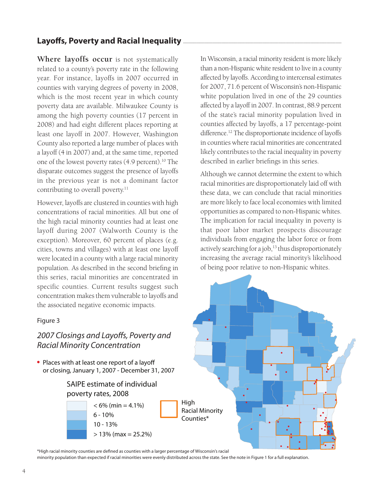## Layoffs, Poverty and Racial Inequality

**Where layoffs occur** is not systematically related to a county's poverty rate in the following year. For instance, layoffs in 2007 occurred in counties with varying degrees of poverty in 2008, which is the most recent year in which county poverty data are available. Milwaukee County is among the high poverty counties (17 percent in 2008) and had eight different places reporting at least one layoff in 2007. However, Washington County also reported a large number of places with a layoff (4 in 2007) and, at the same time, reported one of the lowest poverty rates (4.9 percent).<sup>10</sup> The disparate outcomes suggest the presence of layoffs in the previous year is not a dominant factor contributing to overall poverty.<sup>11</sup>

However, layoffs are clustered in counties with high concentrations of racial minorities. All but one of the high racial minority counties had at least one layoff during 2007 (Walworth County is the exception). Moreover, 60 percent of places (e.g. cities, towns and villages) with at least one layoff were located in a county with a large racial minority population. As described in the second briefing in this series, racial minorities are concentrated in specific counties. Current results suggest such concentration makes them vulnerable to layoffs and the associated negative economic impacts.

#### Figure 3

### *2007 Closings and Layoffs, Poverty and Racial Minority Concentration*

• Places with at least one report of a layoff or closing, January 1, 2007 - December 31, 2007

#### SAIPE estimate of individual poverty rates, 2008



In Wisconsin, a racial minority resident is more likely than a non-Hispanic white resident to live in a county affected by layoffs. According to intercensal estimates for 2007, 71.6 percent of Wisconsin's non-Hispanic white population lived in one of the 29 counties affected by a layoff in 2007. In contrast, 88.9 percent of the state's racial minority population lived in counties affected by layoffs, a 17 percentage-point difference.<sup>12</sup> The disproportionate incidence of layoffs in counties where racial minorities are concentrated likely contributes to the racial inequality in poverty described in earlier briefings in this series.

Although we cannot determine the extent to which racial minorities are disproportionately laid off with these data, we can conclude that racial minorities are more likely to face local economies with limited opportunities as compared to non-Hispanic whites. The implication for racial inequality in poverty is that poor labor market prospects discourage individuals from engaging the labor force or from actively searching for a job,<sup>13</sup> thus disproportionately increasing the average racial minority's likelihood of being poor relative to non-Hispanic whites.



\*High racial minority counties are defined as counties with a larger percentage of Wisconsin's racial

minority population than expected if racial minorities were evenly distributed across the state. See the note in Figure 1 for a full explanation.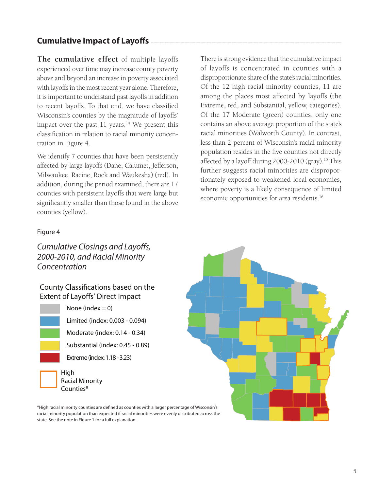# **Cumulative Impact of Layoffs**

**The cumulative effect** of multiple layoffs experienced over time may increase county poverty above and beyond an increase in poverty associated with layoffs in the most recent year alone. Therefore, it is important to understand past layoffs in addition to recent layoffs. To that end, we have classified Wisconsin's counties by the magnitude of layoffs' impact over the past  $11$  years.<sup>14</sup> We present this classification in relation to racial minority concentration in Figure 4.

We identify 7 counties that have been persistently affected by large layoffs (Dane, Calumet, Jefferson, Milwaukee, Racine, Rock and Waukesha) (red). In addition, during the period examined, there are 17 counties with persistent layoffs that were large but significantly smaller than those found in the above counties (yellow).

There is strong evidence that the cumulative impact of layoffs is concentrated in counties with a disproportionate share of the state's racial minorities. Of the 12 high racial minority counties, 11 are among the places most affected by layoffs (the Extreme, red, and Substantial, yellow, categories). Of the 17 Moderate (green) counties, only one contains an above average proportion of the state's racial minorities (Walworth County). In contrast, less than 2 percent of Wisconsin's racial minority population resides in the five counties not directly affected by a layoff during  $2000-2010$  (gray).<sup>15</sup> This further suggests racial minorities are disproportionately exposed to weakened local economies, where poverty is a likely consequence of limited economic opportunities for area residents.16

#### Figure 4

### *Cumulative Closings and Layoffs, 2000-2010, and Racial Minority Concentration*

#### County Classifications based on the Extent of Layoffs' Direct Impact

None (index  $= 0$ )

Limited (index: 0.003 - 0.094)

Moderate (index: 0.14 - 0.34)

Substantial (index: 0.45 - 0.89)

Extreme (index: 1.18 - 3.23)



Racial Minority



\*High racial minority counties are defined as counties with a larger percentage of Wisconsin's racial minority population than expected if racial minorities were evenly distributed across the state. See the note in Figure 1 for a full explanation.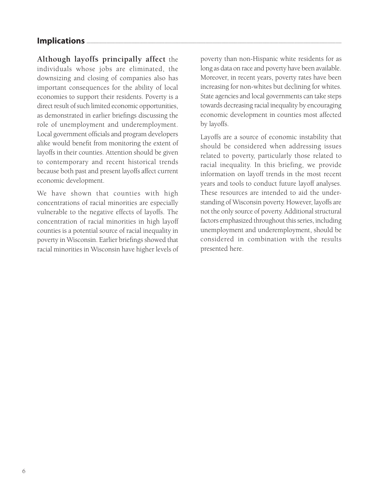### **Implications**

**Although layoffs principally affect** the individuals whose jobs are eliminated, the downsizing and closing of companies also has important consequences for the ability of local economies to support their residents. Poverty is a direct result of such limited economic opportunities, as demonstrated in earlier briefings discussing the role of unemployment and underemployment. Local government officials and program developers alike would benefit from monitoring the extent of layoffs in their counties. Attention should be given to contemporary and recent historical trends because both past and present layoffs affect current economic development.

We have shown that counties with high concentrations of racial minorities are especially vulnerable to the negative effects of layoffs. The concentration of racial minorities in high layoff counties is a potential source of racial inequality in poverty in Wisconsin. Earlier briefings showed that racial minorities in Wisconsin have higher levels of poverty than non-Hispanic white residents for as long as data on race and poverty have been available. Moreover, in recent years, poverty rates have been increasing for non-whites but declining for whites. State agencies and local governments can take steps towards decreasing racial inequality by encouraging economic development in counties most affected by layoffs.

Layoffs are a source of economic instability that should be considered when addressing issues related to poverty, particularly those related to racial inequality. In this briefing, we provide information on layoff trends in the most recent years and tools to conduct future layoff analyses. These resources are intended to aid the understanding of Wisconsin poverty. However, layoffs are not the only source of poverty. Additional structural factors emphasized throughout this series, including unemployment and underemployment, should be considered in combination with the results presented here.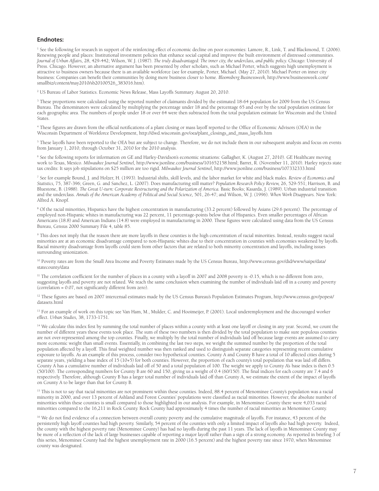#### **Endnotes:**

<sup>1</sup> See the following for research in support of the reinforcing effect of economic decline on poor economies: Lamore, R., Link, T. and Blackmond, T. (2006). Renewing people and places: Institutional investment policies that enhance social capital and improve the built environment of distressed communities. *Journal of Urban Affairs,* 28, 429-442; Wilson, W. J. (1987). *The truly disadvantaged: The inner city, the underclass, and public policy.* Chicago: University of Press. Chicago. However, an alternative argument has been presented by other scholars, such as Michael Porter, which suggests high unemployment is attractive to business owners because there is an available workforce (see for example, Porter, Michael. (May 27, 2010). Michael Porter on inner city business: Companies can benefit their communities by doing more business closer to home. *Bloomsberg Businessweek,* http://www.businessweek.com/ smallbiz/content/may2010/sb20100526\_383016.htm).

2 US Bureau of Labor Statistics. Economic News Release, Mass Layoffs Summary. August 20, 2010.

<sup>3</sup> These proportions were calculated using the reported number of claimants divided by the estimated 18-64 population for 2009 from the US Census Bureau. The denominators were calculated by multiplying the percentage under 18 and the percentage 65 and over by the total population estimate for each geographic area. The numbers of people under 18 or over 64 were then subtracted from the total population estimate for Wisconsin and the United States.

4 These figures are drawn from the official notifications of a plant closing or mass layoff reported to the Office of Economic Advisors (OEA) in the Wisconsin Department of Workforce Development, http://dwd.wisconsin.gov/oea/plant\_closings\_and\_mass\_layoffs.htm

5 These layoffs have been reported to the OEA but are subject to change. Therefore, we do not include them in our subsequent analysis and focus on events from January 1, 2010, through October 31, 2010 for the 2010 analysis.

6 See the following reports for information on GE and Harley-Davidson's economic situations: Gallagher, K. (August 27, 2010). GE Healthcare moving work to Texas, Mexico. *Milwaukee Journal Sentinel,* http://www.jsonline.com/business/101652158.html; Barret, R. (November 11, 2010). Harley rejects state tax credits: It says job stipulations on \$25 million are too rigid. *Milwaukee Journal Sentinel,* http://www.jsonline.com/business/107332333.html

7 See for example Bound, J. and Holzer, H. (1993). Industrial shifts, skill levels, and the labor market for white and black males. *Review of Economics and Statistics,* 75, 387-396; Green, G. and Sanchez, L. (2007). Does manufacturing still matter? *Population Research Policy Review,* 26, 529-551; Harrison, B. and Bluestone, B. (1988). *The Great U-turn: Corporate Restructuring and the Polarization of America.* Basic Books; Kasarda, J. (1989). Urban industrial transition and the underclass. *Annals of the American Academy of Political and Social Science,* 501, 26-47; and Wilson, W. J. (1996). *When Work Disappears.* New York: Alfred A. Knopf.

<sup>8</sup> Of the racial minorities, Hispanics have the highest concentration in manufacturing (33.2 percent) followed by Asians (29.6 percent). The percentage of employed non-Hispanic whites in manufacturing was 22 percent, 11 percentage-points below that of Hispanics. Even smaller percentages of African Americans (18.8) and American Indians (14.8) were employed in manufacturing in 2000. These figures were calculated using data from the US Census Bureau, Census 2000 Summary File 4, table 85.

9 This does not imply that the reason there are more layoffs in these counties is the high concentration of racial minorities. Instead, results suggest racial minorities are at an economic disadvantage compared to non-Hispanic whites due to their concentration in counties with economies weakened by layoffs. Racial minority disadvantage from layoffs could stem from other factors that are related to both minority concentration and layoffs, including issues surrounding unionization.

10 Poverty rates are from the Small Area Income and Poverty Estimates made by the US Census Bureau, http://www.census.gov/did/www/saipe/data/ statecounty/data

<sup>11</sup> The correlation coefficient for the number of places in a county with a layoff in 2007 and 2008 poverty is -0.15, which is no different from zero, suggesting layoffs and poverty are not related. We reach the same conclusion when examining the number of individuals laid off in a county and poverty (correlation = 0.07, not significantly different from zero).

<sup>12</sup> These figures are based on 2007 intercensal estimates made by the US Census Bureau's Population Estimates Program, http://www.census.gov/popest/ datasets.html

<sup>13</sup> For an example of work on this topic see Van Ham, M., Mulder, C. and Hooimeijer, P. (2001). Local underemployment and the discouraged worker effect. *Urban Studies,* 38, 1733-1751.

<sup>14</sup> We calculate this index first by summing the total number of places within a county with at least one layoff or closing in any year. Second, we count the number of different years these events took place. The sum of these two numbers is then divided by the total population to make sure populous counties are not over-represented among the top counties. Finally, we multiply by the total number of individuals laid off because large events are assumed to carry more economic weight than small events. Essentially, in combining the last two steps, we weight the summed number by the proportion of the total population affected by a layoff. This final weighted number was then ranked and used to distinguish separate categories representing recent cumulative exposure to layoffs. As an example of this process, consider two hypothetical counties. County A and County B have a total of 10 affected cities during 5 separate years, yielding a base index of 15 (10+5) for both counties. However, the proportion of each county's total population that was laid off differs. County A has a cumulative number of individuals laid off of 50 and a total population of 100. The weight we apply to County A's base index is then 0.5 (50/100). The corresponding numbers for County B are 60 and 150, giving us a weight of 0.4 (60/150). The final indices for each county are 7.4 and 6 respectively. Therefore, although County B has a larger total number of individuals laid off than County A, we estimate the extent of the impact of layoffs on County A to be larger than that for County B.

<sup>15</sup> This is not to say that racial minorities are not prominent within these counties. Indeed, 88.4 percent of Menominee County's population was a racial minority in 2000, and over 13 percent of Ashland and Forest Counties' populations were classified as racial minorities. However, the absolute number of minorities within these counties is small compared to those highlighted in our analysis. For example, in Menominee County there were 4,033 racial minorities compared to the 16,211 in Rock County. Rock County had approximately 4 times the number of racial minorities as Menominee County.

<sup>16</sup> We do not find evidence of a connection between overall county poverty and the cumulative magnitude of layoffs. For instance, 43 percent of the persistently high layoff counties had high poverty. Similarly, 54 percent of the counties with only a limited impact of layoffs also had high poverty. Indeed, the county with the highest poverty rate (Menominee County) has had no layoffs during the past 11 years. The lack of layoffs in Menominee County may be more of a reflection of the lack of large businesses capable of reporting a major layoff rather than a sign of a strong economy. As reported in briefing 3 of this series, Menominee County had the highest unemployment rate in 2000 (16.5 percent) and the highest poverty rate since 1970, when Menominee county was designated.